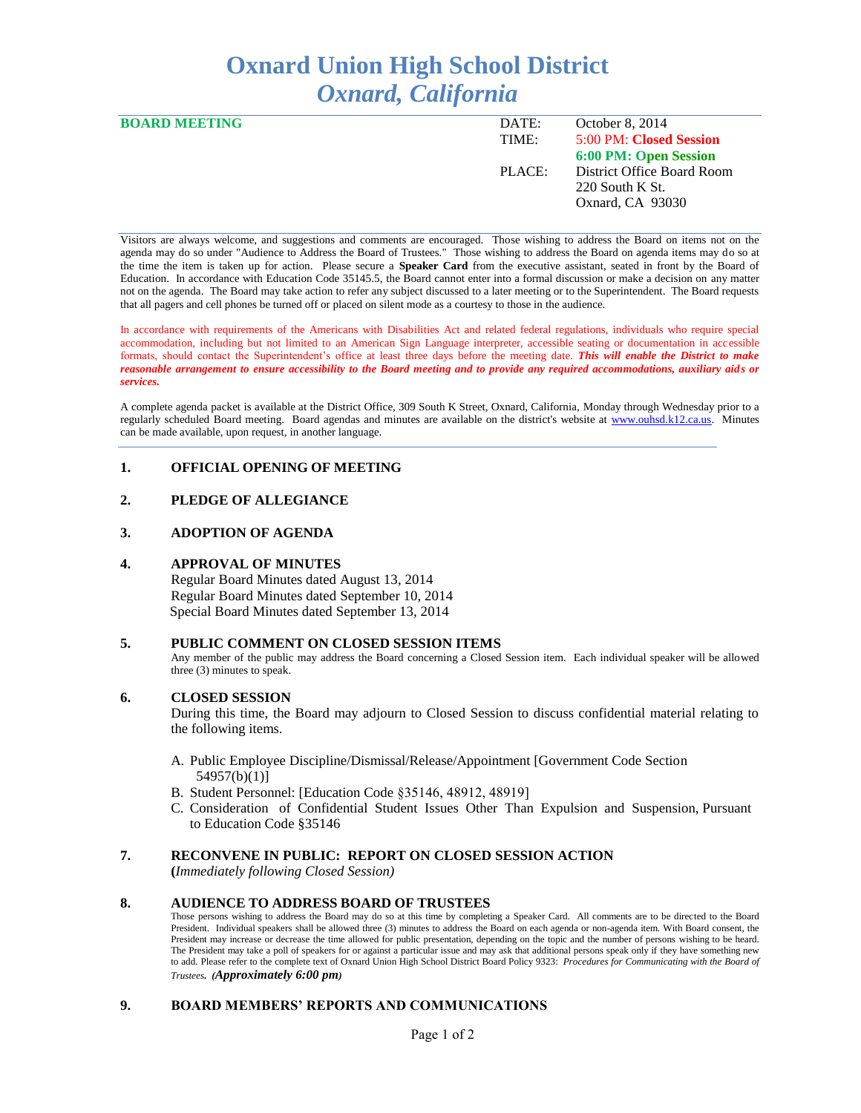# **Oxnard Union High School District** *Oxnard, California*

| <b>BOARD MEETING</b> | DATE:  | October 8, 2014            |
|----------------------|--------|----------------------------|
|                      | TIME:  | 5:00 PM: Closed Session    |
|                      |        | 6:00 PM: Open Session      |
|                      | PLACE: | District Office Board Room |
|                      |        | $220$ South K St.          |
|                      |        | Oxnard, CA 93030           |
|                      |        |                            |

Visitors are always welcome, and suggestions and comments are encouraged. Those wishing to address the Board on items not on the agenda may do so under "Audience to Address the Board of Trustees." Those wishing to address the Board on agenda items may do so at the time the item is taken up for action. Please secure a **Speaker Card** from the executive assistant, seated in front by the Board of Education. In accordance with Education Code 35145.5, the Board cannot enter into a formal discussion or make a decision on any matter not on the agenda. The Board may take action to refer any subject discussed to a later meeting or to the Superintendent. The Board requests that all pagers and cell phones be turned off or placed on silent mode as a courtesy to those in the audience.

In accordance with requirements of the Americans with Disabilities Act and related federal regulations, individuals who require special accommodation, including but not limited to an American Sign Language interpreter, accessible seating or documentation in accessible formats, should contact the Superintendent's office at least three days before the meeting date. *This will enable the District to make reasonable arrangement to ensure accessibility to the Board meeting and to provide any required accommodations, auxiliary aids or services.* 

A complete agenda packet is available at the District Office, 309 South K Street, Oxnard, California, Monday through Wednesday prior to a regularly scheduled Board meeting. Board agendas and minutes are available on the district's website at [www.ouhsd.k12.ca.us.](http://www.ouhsd.k12.ca.us/)Minutes can be made available, upon request, in another language.

## **1. OFFICIAL OPENING OF MEETING**

## **2. PLEDGE OF ALLEGIANCE**

#### **3. ADOPTION OF AGENDA**

#### **4. APPROVAL OF MINUTES**

Regular Board Minutes dated August 13, 2014 Regular Board Minutes dated September 10, 2014 Special Board Minutes dated September 13, 2014

#### **5. PUBLIC COMMENT ON CLOSED SESSION ITEMS**

Any member of the public may address the Board concerning a Closed Session item. Each individual speaker will be allowed three (3) minutes to speak.

#### **6. CLOSED SESSION**

During this time, the Board may adjourn to Closed Session to discuss confidential material relating to the following items.

- A. Public Employee Discipline/Dismissal/Release/Appointment [Government Code Section 54957(b)(1)]
- B. Student Personnel: [Education Code §35146, 48912, 48919]
- C. Consideration of Confidential Student Issues Other Than Expulsion and Suspension, Pursuant to Education Code §35146

#### **7. RECONVENE IN PUBLIC: REPORT ON CLOSED SESSION ACTION**

**(***Immediately following Closed Session)*

#### **8. AUDIENCE TO ADDRESS BOARD OF TRUSTEES**

Those persons wishing to address the Board may do so at this time by completing a Speaker Card. All comments are to be directed to the Board President. Individual speakers shall be allowed three (3) minutes to address the Board on each agenda or non-agenda item. With Board consent, the President may increase or decrease the time allowed for public presentation, depending on the topic and the number of persons wishing to be heard. The President may take a poll of speakers for or against a particular issue and may ask that additional persons speak only if they have something new to add. Please refer to the complete text of Oxnard Union High School District Board Policy 9323: *Procedures for Communicating with the Board of Trustees. (Approximately 6:00 pm)*

#### **9. BOARD MEMBERS' REPORTS AND COMMUNICATIONS**

Page 1 of 2